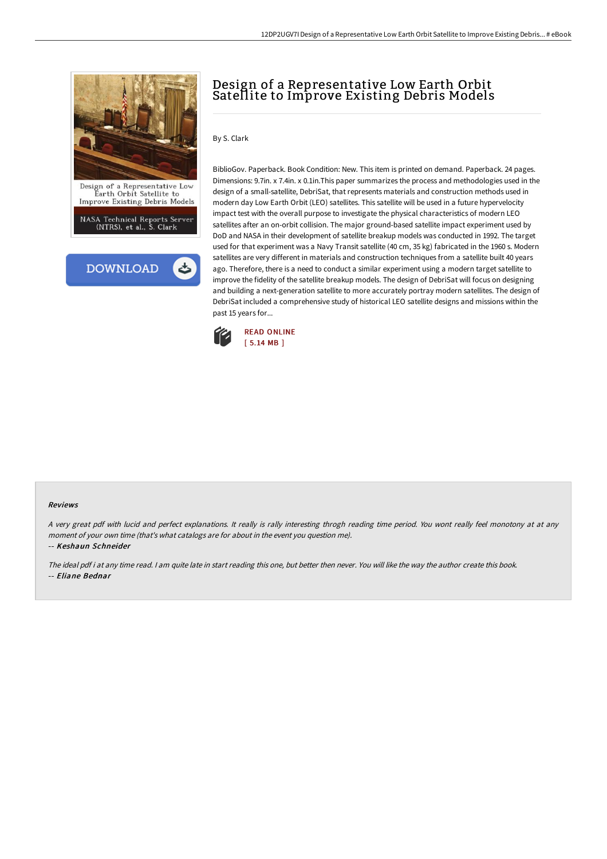

NASA Technical Reports Server<br>(NTRS), et al., S. Clark



# Design of a Representative Low Earth Orbit Satellite to Improve Existing Debris Models

By S. Clark

BiblioGov. Paperback. Book Condition: New. This item is printed on demand. Paperback. 24 pages. Dimensions: 9.7in. x 7.4in. x 0.1in.This paper summarizes the process and methodologies used in the design of a small-satellite, DebriSat, that represents materials and construction methods used in modern day Low Earth Orbit (LEO) satellites. This satellite will be used in a future hypervelocity impact test with the overall purpose to investigate the physical characteristics of modern LEO satellites after an on-orbit collision. The major ground-based satellite impact experiment used by DoD and NASA in their development of satellite breakup models was conducted in 1992. The target used for that experiment was a Navy Transit satellite (40 cm, 35 kg) fabricated in the 1960 s. Modern satellites are very different in materials and construction techniques from a satellite built 40 years ago. Therefore, there is a need to conduct a similar experiment using a modern target satellite to improve the fidelity of the satellite breakup models. The design of DebriSat will focus on designing and building a next-generation satellite to more accurately portray modern satellites. The design of DebriSat included a comprehensive study of historical LEO satellite designs and missions within the past 15 years for...



#### Reviews

A very great pdf with lucid and perfect explanations. It really is rally interesting throgh reading time period. You wont really feel monotony at at any moment of your own time (that's what catalogs are for about in the event you question me).

-- Keshaun Schneider

The ideal pdf i at any time read. <sup>I</sup> am quite late in start reading this one, but better then never. You will like the way the author create this book. -- Eliane Bednar